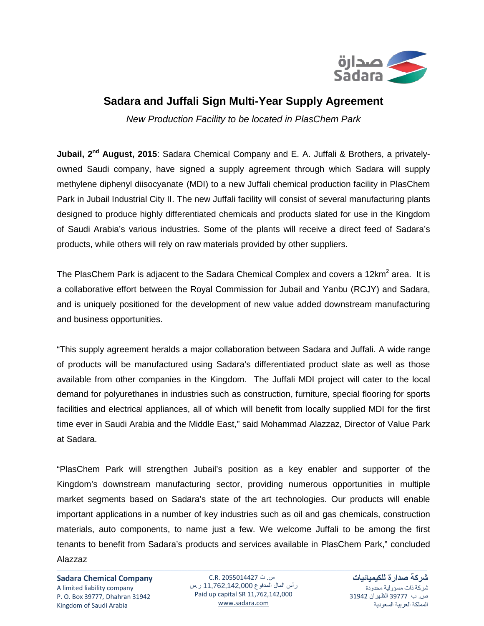

## **Sadara and Juffali Sign Multi-Year Supply Agreement**

*New Production Facility to be located in PlasChem Park*

**Jubail, 2<sup>nd</sup> August, 2015**: Sadara Chemical Company and E. A. Juffali & Brothers, a privatelyowned Saudi company, have signed a supply agreement through which Sadara will supply methylene diphenyl diisocyanate (MDI) to a new Juffali chemical production facility in PlasChem Park in Jubail Industrial City II. The new Juffali facility will consist of several manufacturing plants designed to produce highly differentiated chemicals and products slated for use in the Kingdom of Saudi Arabia's various industries. Some of the plants will receive a direct feed of Sadara's products, while others will rely on raw materials provided by other suppliers.

The PlasChem Park is adjacent to the Sadara Chemical Complex and covers a 12 $km<sup>2</sup>$  area. It is a collaborative effort between the Royal Commission for Jubail and Yanbu (RCJY) and Sadara, and is uniquely positioned for the development of new value added downstream manufacturing and business opportunities.

"This supply agreement heralds a major collaboration between Sadara and Juffali. A wide range of products will be manufactured using Sadara's differentiated product slate as well as those available from other companies in the Kingdom. The Juffali MDI project will cater to the local demand for polyurethanes in industries such as construction, furniture, special flooring for sports facilities and electrical appliances, all of which will benefit from locally supplied MDI for the first time ever in Saudi Arabia and the Middle East," said Mohammad Alazzaz, Director of Value Park at Sadara.

"PlasChem Park will strengthen Jubail's position as a key enabler and supporter of the Kingdom's downstream manufacturing sector, providing numerous opportunities in multiple market segments based on Sadara's state of the art technologies. Our products will enable important applications in a number of key industries such as oil and gas chemicals, construction materials, auto components, to name just a few. We welcome Juffali to be among the first tenants to benefit from Sadara's products and services available in PlasChem Park," concluded Alazzaz

**Sadara Chemical Company** A limited liability company P. O. Box 39777, Dhahran 31942 Kingdom of Saudi Arabia

س. ت 2055014427 .R.C رأس المال المدفوع 11,762,142,000 ر.س Paid up capital SR 11,762,142,000 [www.sadara.com](http://www.sadara.com/)

**شركة صدارة للكيميائيات** شركة ذات مسؤولية محدودة ص. ب 39777 الظهران 31942 المملكة العربية السعودية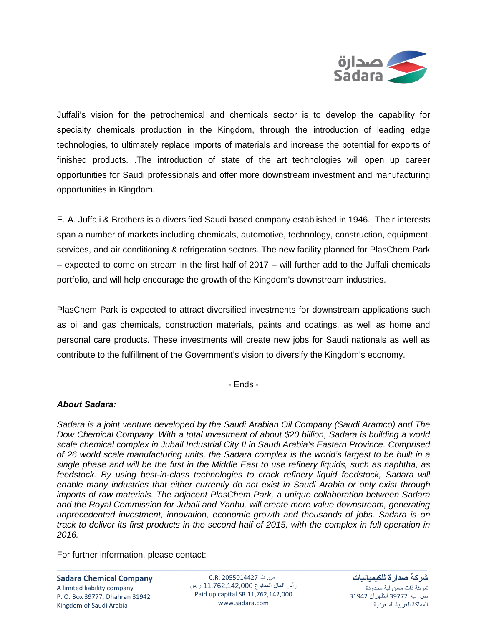

Juffali's vision for the petrochemical and chemicals sector is to develop the capability for specialty chemicals production in the Kingdom, through the introduction of leading edge technologies, to ultimately replace imports of materials and increase the potential for exports of finished products. .The introduction of state of the art technologies will open up career opportunities for Saudi professionals and offer more downstream investment and manufacturing opportunities in Kingdom.

E. A. Juffali & Brothers is a diversified Saudi based company established in 1946. Their interests span a number of markets including chemicals, automotive, technology, construction, equipment, services, and air conditioning & refrigeration sectors. The new facility planned for PlasChem Park – expected to come on stream in the first half of 2017 – will further add to the Juffali chemicals portfolio, and will help encourage the growth of the Kingdom's downstream industries.

PlasChem Park is expected to attract diversified investments for downstream applications such as oil and gas chemicals, construction materials, paints and coatings, as well as home and personal care products. These investments will create new jobs for Saudi nationals as well as contribute to the fulfillment of the Government's vision to diversify the Kingdom's economy.

- Ends -

## *About Sadara:*

*Sadara is a joint venture developed by the Saudi Arabian Oil Company (Saudi Aramco) and The Dow Chemical Company. With a total investment of about \$20 billion, Sadara is building a world scale chemical complex in Jubail Industrial City II in Saudi Arabia's Eastern Province. Comprised of 26 world scale manufacturing units, the Sadara complex is the world's largest to be built in a single phase and will be the first in the Middle East to use refinery liquids, such as naphtha, as feedstock. By using best-in-class technologies to crack refinery liquid feedstock, Sadara will enable many industries that either currently do not exist in Saudi Arabia or only exist through imports of raw materials. The adjacent PlasChem Park, a unique collaboration between Sadara and the Royal Commission for Jubail and Yanbu, will create more value downstream, generating unprecedented investment, innovation, economic growth and thousands of jobs. Sadara is on track to deliver its first products in the second half of 2015, with the complex in full operation in 2016.* 

For further information, please contact:

**Sadara Chemical Company**

A limited liability company P. O. Box 39777, Dhahran 31942 Kingdom of Saudi Arabia

س. ت 2055014427 .R.C رأس المال المدفوع 11,762,142,000 ر.س Paid up capital SR 11,762,142,000 [www.sadara.com](http://www.sadara.com/)

**شركة صدارة للكيميائيات** شركة ذات مسؤولية محدودة ص. ب 39777 الظهران 31942 المملكة العربية السعودية